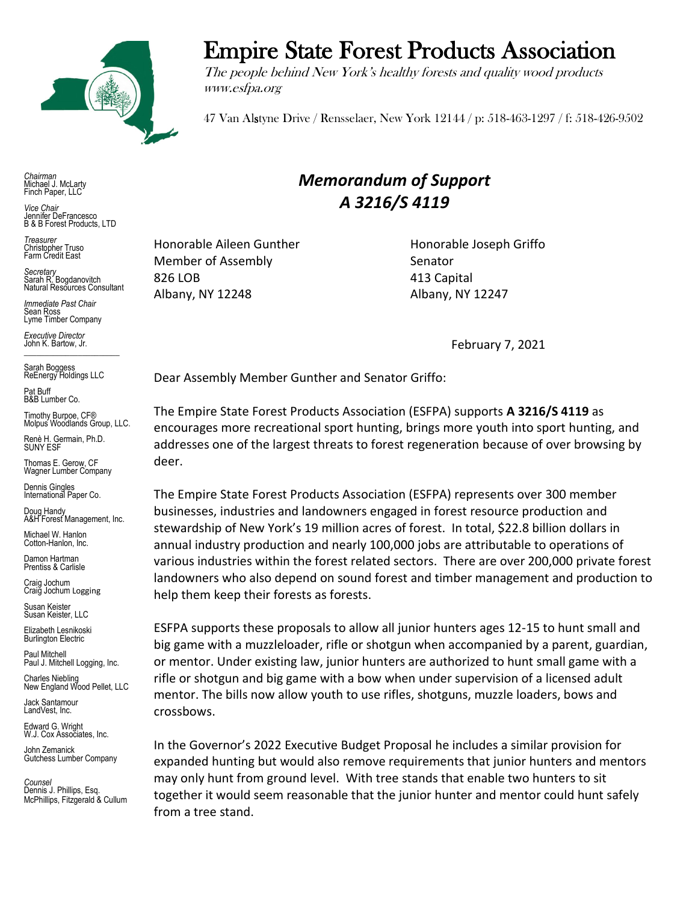

Empire State Forest Products Association

The people behind New York's healthy forests and quality wood products www.esfpa.org

47 Van Alstyne Drive / Rensselaer, New York 12144 / p: 518-463-1297 / f: 518-426-9502

*Chairman* Michael J. McLarty Finch Paper, LLC

*Vice Chair* Jennifer DeFrancesco B & B Forest Products, LTD

*Treasurer* Christopher Truso Farm Credit East

*Secretary* Sarah R. Bogdanovitch Natural Resources Consultant

*Immediate Past Chair* Sean Ross Lyme Timber Company

*Executive Director* John K. Bartow, Jr.  $\mathcal{L}_\text{max}$  , we can also the set of the set of the set of the set of the set of the set of the set of the set of the set of the set of the set of the set of the set of the set of the set of the set of the set of the se

Sarah Boggess ReEnergy Holdings LLC

Pat Buff B&B Lumber Co.

Timothy Burpoe, CF® Molpus Woodlands Group, LLC.

Renè H. Germain, Ph.D. SUNY ESF

Thomas E. Gerow, CF Wagner Lumber Company

Dennis Gingles International Paper Co.

Doug Handy A&H Forest Management, Inc. Michael W. Hanlon

Cotton-Hanlon, Inc.

Damon Hartman Prentiss & Carlisle

Craig Jochum Craig Jochum Logging

Susan Keister Susan Keister, LLC

Elizabeth Lesnikoski **Burlington Electric** 

Paul Mitchell Paul J. Mitchell Logging, Inc.

Charles Niebling New England Wood Pellet, LLC

Jack Santamour LandVest, Inc.

Edward G. Wright W.J. Cox Associates, Inc.

John Zemanick Gutchess Lumber Company

*Counsel* Dennis J. Phillips, Esq. McPhillips, Fitzgerald & Cullum *Memorandum of Support A 3216/S 4119*

Honorable Aileen Gunther Honorable Joseph Griffo Member of Assembly Senator 826 LOB 413 Capital Albany, NY 12248 Albany, NY 12247

February 7, 2021

Dear Assembly Member Gunther and Senator Griffo:

The Empire State Forest Products Association (ESFPA) supports **A 3216/S 4119** as encourages more recreational sport hunting, brings more youth into sport hunting, and addresses one of the largest threats to forest regeneration because of over browsing by deer.

The Empire State Forest Products Association (ESFPA) represents over 300 member businesses, industries and landowners engaged in forest resource production and stewardship of New York's 19 million acres of forest. In total, \$22.8 billion dollars in annual industry production and nearly 100,000 jobs are attributable to operations of various industries within the forest related sectors. There are over 200,000 private forest landowners who also depend on sound forest and timber management and production to help them keep their forests as forests.

ESFPA supports these proposals to allow all junior hunters ages 12-15 to hunt small and big game with a muzzleloader, rifle or shotgun when accompanied by a parent, guardian, or mentor. Under existing law, junior hunters are authorized to hunt small game with a rifle or shotgun and big game with a bow when under supervision of a licensed adult mentor. The bills now allow youth to use rifles, shotguns, muzzle loaders, bows and crossbows.

In the Governor's 2022 Executive Budget Proposal he includes a similar provision for expanded hunting but would also remove requirements that junior hunters and mentors may only hunt from ground level. With tree stands that enable two hunters to sit together it would seem reasonable that the junior hunter and mentor could hunt safely from a tree stand.